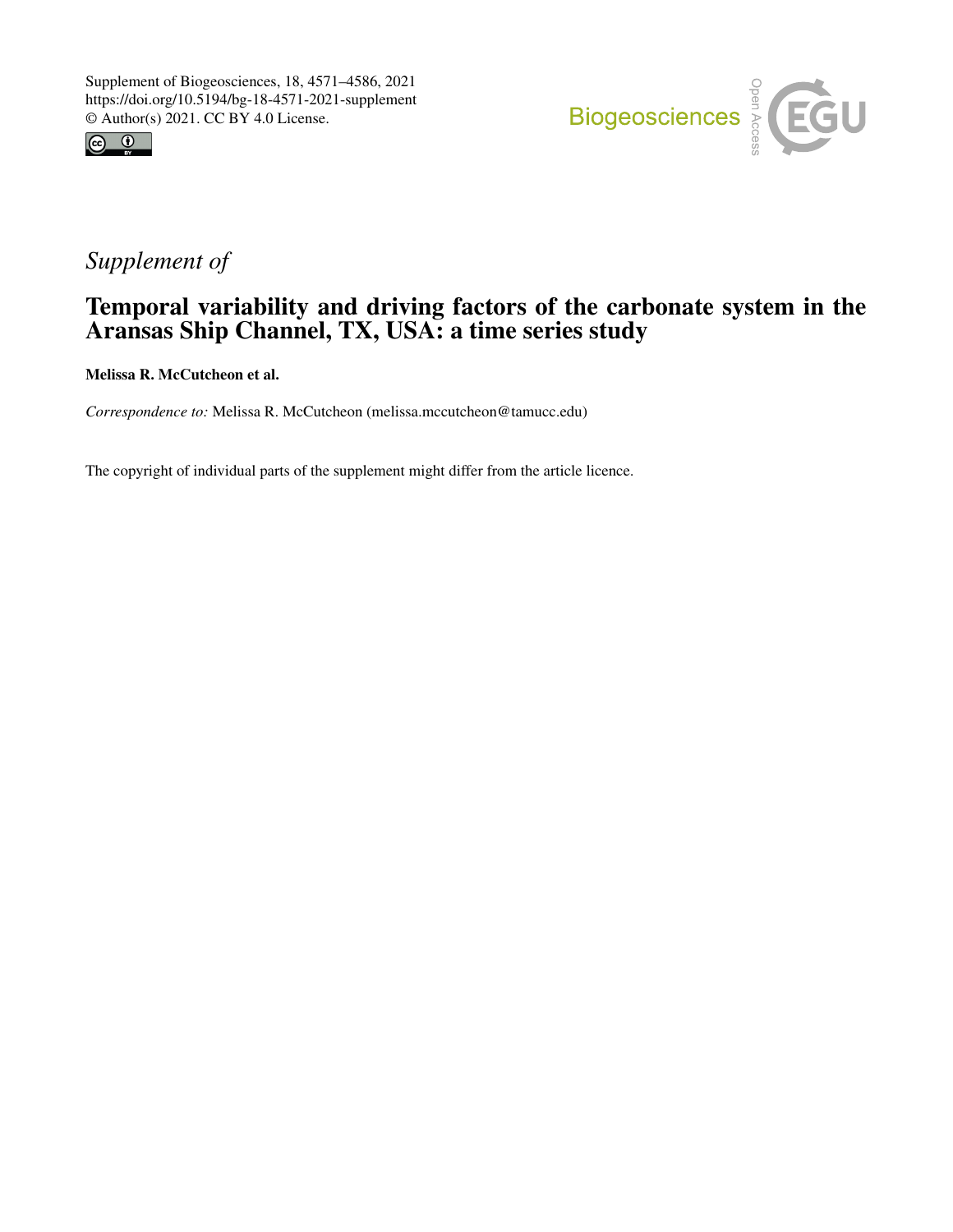



# *Supplement of*

## Temporal variability and driving factors of the carbonate system in the Aransas Ship Channel, TX, USA: a time series study

Melissa R. McCutcheon et al.

*Correspondence to:* Melissa R. McCutcheon (melissa.mccutcheon@tamucc.edu)

The copyright of individual parts of the supplement might differ from the article licence.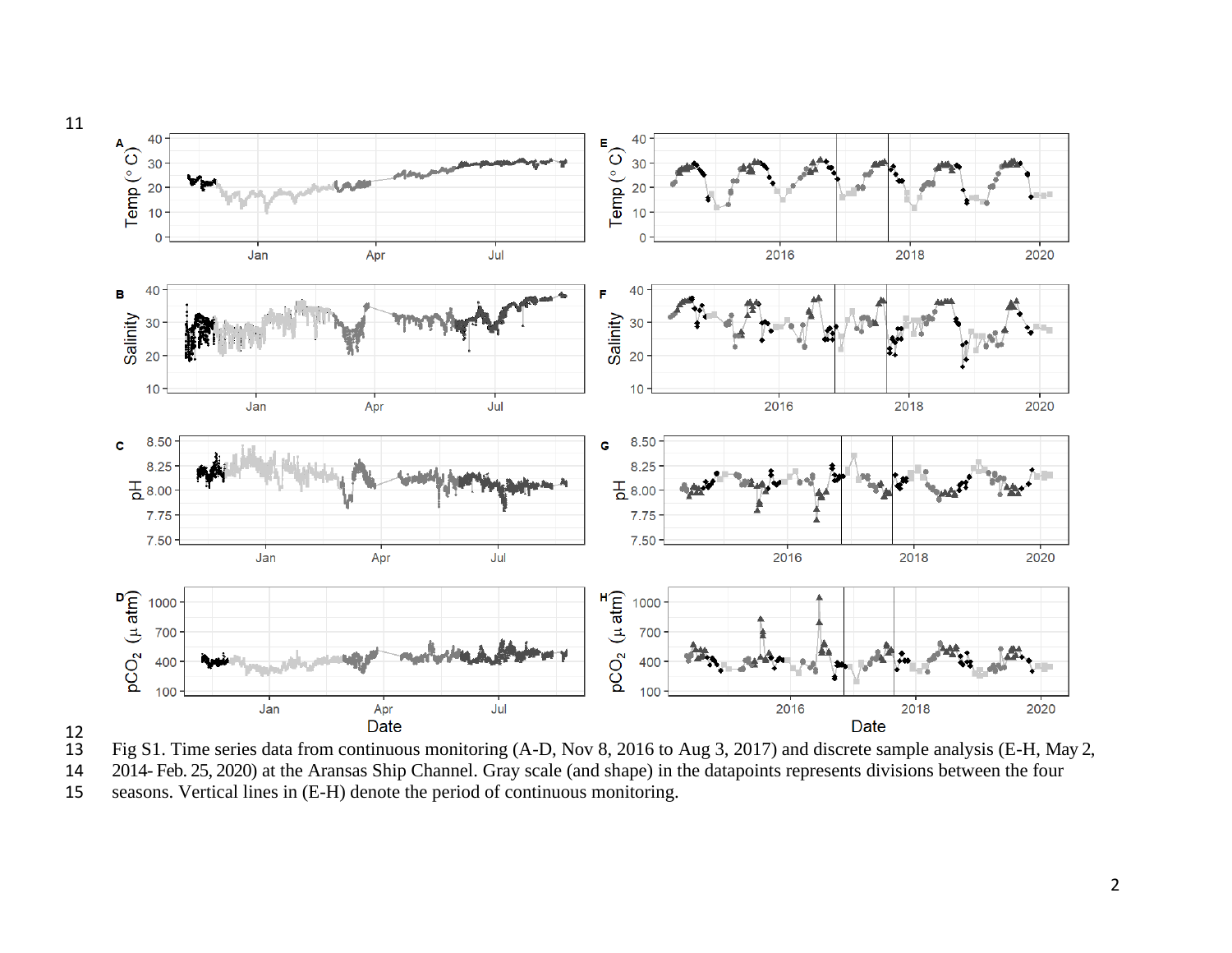



Fig S1. Time series data from continuous monitoring (A-D, Nov 8, 2016 to Aug 3, 2017) and discrete sample analysis (E-H, May 2, 2014- Feb. 25, 2020) at the Aransas Ship Channel. Gray scale (and shape) in the datapoints rep 2014- Feb. 25, 2020) at the Aransas Ship Channel. Gray scale (and shape) in the datapoints represents divisions between the four

seasons. Vertical lines in (E-H) denote the period of continuous monitoring.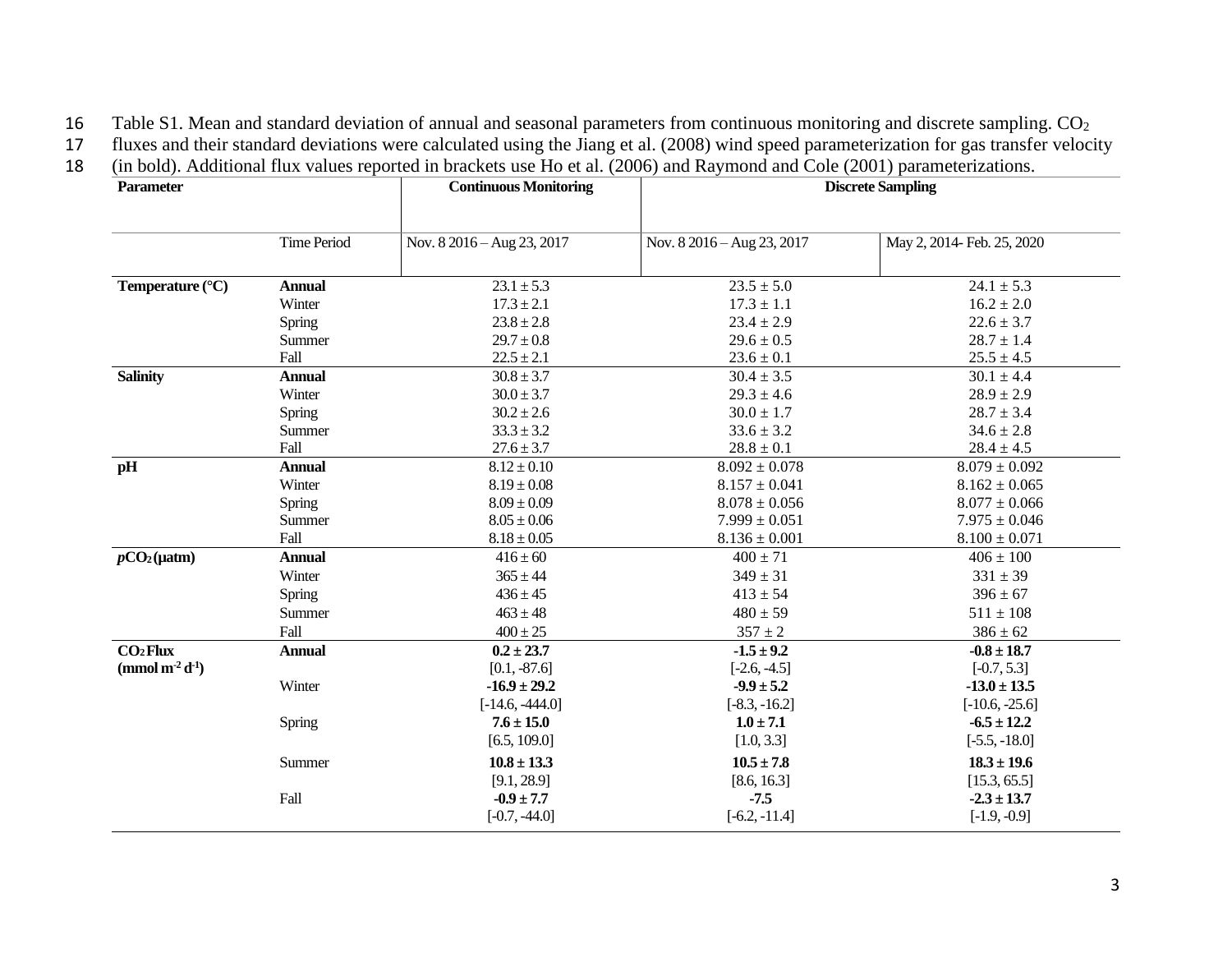16 Table S1. Mean and standard deviation of annual and seasonal parameters from continuous monitoring and discrete sampling. CO<sup>2</sup>

17 fluxes and their standard deviations were calculated using the Jiang et al. (2008) wind speed parameterization for gas transfer velocity

18 (in bold). Additional flux values reported in brackets use Ho et al. (2006) and Raymond and Cole (2001) parameterizations.

| <b>Time Period</b><br>May 2, 2014- Feb. 25, 2020<br>Nov. 8 2016 – Aug 23, 2017<br>Nov. $8\,2016 - \text{Aug }23, 2017$<br>$23.1 \pm 5.3$<br>$23.5 \pm 5.0$<br>$24.1 \pm 5.3$<br><b>Annual</b><br>$17.3 \pm 2.1$<br>$17.3 \pm 1.1$<br>$16.2 \pm 2.0$<br>Winter<br>$23.8 \pm 2.8$<br>$23.4 \pm 2.9$<br>$22.6 \pm 3.7$<br>Spring<br>$29.7 \pm 0.8$<br>$29.6 \pm 0.5$<br>$28.7 \pm 1.4$<br>Summer<br>Fall<br>$22.5 \pm 2.1$<br>$23.6 \pm 0.1$<br>$25.5 \pm 4.5$<br><b>Annual</b><br>$30.8 \pm 3.7$<br>$30.4 \pm 3.5$<br>$30.1 \pm 4.4$<br>$30.0 \pm 3.7$<br>$29.3 \pm 4.6$<br>$28.9 \pm 2.9$<br>Winter<br>$30.2 \pm 2.6$<br>$30.0 \pm 1.7$<br>$28.7 \pm 3.4$<br>Spring<br>$33.3 \pm 3.2$<br>$33.6 \pm 3.2$<br>$34.6 \pm 2.8$<br>Summer<br>Fall<br>$27.6 \pm 3.7$<br>$28.8 \pm 0.1$<br>$28.4 \pm 4.5$<br>$8.12 \pm 0.10$<br>$8.092 \pm 0.078$<br><b>Annual</b><br>$8.079 \pm 0.092$<br>Winter<br>$8.19 \pm 0.08$<br>$8.157\pm0.041$<br>$8.162 \pm 0.065$<br>$8.09 \pm 0.09$<br>$8.078\pm0.056$<br>$8.077 \pm 0.066$<br>Spring<br>$8.05 \pm 0.06$<br>$7.999 \pm 0.051$<br>$7.975 \pm 0.046$<br>Summer<br>Fall<br>$8.18 \pm 0.05$<br>$8.136 \pm 0.001$<br>$8.100 \pm 0.071$<br><b>Annual</b><br>$416 \pm 60$<br>$400 \pm 71$<br>$406 \pm 100$<br>Winter<br>$365 \pm 44$<br>$349 \pm 31$<br>$331 \pm 39$<br>$436 \pm 45$<br>$413 \pm 54$<br>$396 \pm 67$<br>Spring<br>$463 \pm 48$<br>$480 \pm 59$<br>$511 \pm 108$<br>Summer<br>Fall<br>$400 \pm 25$<br>$357 \pm 2$<br>$386 \pm 62$<br>$-1.5 \pm 9.2$<br>$0.2 \pm 23.7$<br>$-0.8 \pm 18.7$<br><b>Annual</b><br>$[0.1, -87.6]$<br>$[-2.6, -4.5]$<br>$[-0.7, 5.3]$<br>Winter<br>$-9.9 \pm 5.2$<br>$-16.9 \pm 29.2$<br>$-13.0 \pm 13.5$<br>$[-14.6, -444.0]$<br>$[-8.3, -16.2]$<br>$[-10.6, -25.6]$<br>$1.0 \pm 7.1$<br>Spring<br>$7.6 \pm 15.0$<br>$-6.5 \pm 12.2$<br>[6.5, 109.0]<br>[1.0, 3.3]<br>$[-5.5, -18.0]$<br>$10.8 \pm 13.3$<br>$10.5 \pm 7.8$<br>$18.3 \pm 19.6$<br>Summer<br>[9.1, 28.9]<br>[8.6, 16.3]<br>[15.3, 65.5]<br>Fall<br>$-7.5$<br>$-0.9 \pm 7.7$<br>$-2.3 \pm 13.7$ | <b>Parameter</b>                        |  | <b>Continuous Monitoring</b> | <b>Discrete Sampling</b> |                |  |
|-----------------------------------------------------------------------------------------------------------------------------------------------------------------------------------------------------------------------------------------------------------------------------------------------------------------------------------------------------------------------------------------------------------------------------------------------------------------------------------------------------------------------------------------------------------------------------------------------------------------------------------------------------------------------------------------------------------------------------------------------------------------------------------------------------------------------------------------------------------------------------------------------------------------------------------------------------------------------------------------------------------------------------------------------------------------------------------------------------------------------------------------------------------------------------------------------------------------------------------------------------------------------------------------------------------------------------------------------------------------------------------------------------------------------------------------------------------------------------------------------------------------------------------------------------------------------------------------------------------------------------------------------------------------------------------------------------------------------------------------------------------------------------------------------------------------------------------------------------------------------------------------------------------------------------------------------------------------------------------------------------------------------------------|-----------------------------------------|--|------------------------------|--------------------------|----------------|--|
|                                                                                                                                                                                                                                                                                                                                                                                                                                                                                                                                                                                                                                                                                                                                                                                                                                                                                                                                                                                                                                                                                                                                                                                                                                                                                                                                                                                                                                                                                                                                                                                                                                                                                                                                                                                                                                                                                                                                                                                                                                   |                                         |  |                              |                          |                |  |
|                                                                                                                                                                                                                                                                                                                                                                                                                                                                                                                                                                                                                                                                                                                                                                                                                                                                                                                                                                                                                                                                                                                                                                                                                                                                                                                                                                                                                                                                                                                                                                                                                                                                                                                                                                                                                                                                                                                                                                                                                                   |                                         |  |                              |                          |                |  |
|                                                                                                                                                                                                                                                                                                                                                                                                                                                                                                                                                                                                                                                                                                                                                                                                                                                                                                                                                                                                                                                                                                                                                                                                                                                                                                                                                                                                                                                                                                                                                                                                                                                                                                                                                                                                                                                                                                                                                                                                                                   | Temperature (°C)                        |  |                              |                          |                |  |
|                                                                                                                                                                                                                                                                                                                                                                                                                                                                                                                                                                                                                                                                                                                                                                                                                                                                                                                                                                                                                                                                                                                                                                                                                                                                                                                                                                                                                                                                                                                                                                                                                                                                                                                                                                                                                                                                                                                                                                                                                                   |                                         |  |                              |                          |                |  |
|                                                                                                                                                                                                                                                                                                                                                                                                                                                                                                                                                                                                                                                                                                                                                                                                                                                                                                                                                                                                                                                                                                                                                                                                                                                                                                                                                                                                                                                                                                                                                                                                                                                                                                                                                                                                                                                                                                                                                                                                                                   |                                         |  |                              |                          |                |  |
|                                                                                                                                                                                                                                                                                                                                                                                                                                                                                                                                                                                                                                                                                                                                                                                                                                                                                                                                                                                                                                                                                                                                                                                                                                                                                                                                                                                                                                                                                                                                                                                                                                                                                                                                                                                                                                                                                                                                                                                                                                   |                                         |  |                              |                          |                |  |
|                                                                                                                                                                                                                                                                                                                                                                                                                                                                                                                                                                                                                                                                                                                                                                                                                                                                                                                                                                                                                                                                                                                                                                                                                                                                                                                                                                                                                                                                                                                                                                                                                                                                                                                                                                                                                                                                                                                                                                                                                                   |                                         |  |                              |                          |                |  |
|                                                                                                                                                                                                                                                                                                                                                                                                                                                                                                                                                                                                                                                                                                                                                                                                                                                                                                                                                                                                                                                                                                                                                                                                                                                                                                                                                                                                                                                                                                                                                                                                                                                                                                                                                                                                                                                                                                                                                                                                                                   | <b>Salinity</b>                         |  |                              |                          |                |  |
|                                                                                                                                                                                                                                                                                                                                                                                                                                                                                                                                                                                                                                                                                                                                                                                                                                                                                                                                                                                                                                                                                                                                                                                                                                                                                                                                                                                                                                                                                                                                                                                                                                                                                                                                                                                                                                                                                                                                                                                                                                   |                                         |  |                              |                          |                |  |
|                                                                                                                                                                                                                                                                                                                                                                                                                                                                                                                                                                                                                                                                                                                                                                                                                                                                                                                                                                                                                                                                                                                                                                                                                                                                                                                                                                                                                                                                                                                                                                                                                                                                                                                                                                                                                                                                                                                                                                                                                                   |                                         |  |                              |                          |                |  |
|                                                                                                                                                                                                                                                                                                                                                                                                                                                                                                                                                                                                                                                                                                                                                                                                                                                                                                                                                                                                                                                                                                                                                                                                                                                                                                                                                                                                                                                                                                                                                                                                                                                                                                                                                                                                                                                                                                                                                                                                                                   |                                         |  |                              |                          |                |  |
|                                                                                                                                                                                                                                                                                                                                                                                                                                                                                                                                                                                                                                                                                                                                                                                                                                                                                                                                                                                                                                                                                                                                                                                                                                                                                                                                                                                                                                                                                                                                                                                                                                                                                                                                                                                                                                                                                                                                                                                                                                   |                                         |  |                              |                          |                |  |
|                                                                                                                                                                                                                                                                                                                                                                                                                                                                                                                                                                                                                                                                                                                                                                                                                                                                                                                                                                                                                                                                                                                                                                                                                                                                                                                                                                                                                                                                                                                                                                                                                                                                                                                                                                                                                                                                                                                                                                                                                                   | pH                                      |  |                              |                          |                |  |
|                                                                                                                                                                                                                                                                                                                                                                                                                                                                                                                                                                                                                                                                                                                                                                                                                                                                                                                                                                                                                                                                                                                                                                                                                                                                                                                                                                                                                                                                                                                                                                                                                                                                                                                                                                                                                                                                                                                                                                                                                                   |                                         |  |                              |                          |                |  |
|                                                                                                                                                                                                                                                                                                                                                                                                                                                                                                                                                                                                                                                                                                                                                                                                                                                                                                                                                                                                                                                                                                                                                                                                                                                                                                                                                                                                                                                                                                                                                                                                                                                                                                                                                                                                                                                                                                                                                                                                                                   |                                         |  |                              |                          |                |  |
|                                                                                                                                                                                                                                                                                                                                                                                                                                                                                                                                                                                                                                                                                                                                                                                                                                                                                                                                                                                                                                                                                                                                                                                                                                                                                                                                                                                                                                                                                                                                                                                                                                                                                                                                                                                                                                                                                                                                                                                                                                   |                                         |  |                              |                          |                |  |
|                                                                                                                                                                                                                                                                                                                                                                                                                                                                                                                                                                                                                                                                                                                                                                                                                                                                                                                                                                                                                                                                                                                                                                                                                                                                                                                                                                                                                                                                                                                                                                                                                                                                                                                                                                                                                                                                                                                                                                                                                                   |                                         |  |                              |                          |                |  |
|                                                                                                                                                                                                                                                                                                                                                                                                                                                                                                                                                                                                                                                                                                                                                                                                                                                                                                                                                                                                                                                                                                                                                                                                                                                                                                                                                                                                                                                                                                                                                                                                                                                                                                                                                                                                                                                                                                                                                                                                                                   | $pCO2(\mu atm)$                         |  |                              |                          |                |  |
|                                                                                                                                                                                                                                                                                                                                                                                                                                                                                                                                                                                                                                                                                                                                                                                                                                                                                                                                                                                                                                                                                                                                                                                                                                                                                                                                                                                                                                                                                                                                                                                                                                                                                                                                                                                                                                                                                                                                                                                                                                   |                                         |  |                              |                          |                |  |
|                                                                                                                                                                                                                                                                                                                                                                                                                                                                                                                                                                                                                                                                                                                                                                                                                                                                                                                                                                                                                                                                                                                                                                                                                                                                                                                                                                                                                                                                                                                                                                                                                                                                                                                                                                                                                                                                                                                                                                                                                                   |                                         |  |                              |                          |                |  |
|                                                                                                                                                                                                                                                                                                                                                                                                                                                                                                                                                                                                                                                                                                                                                                                                                                                                                                                                                                                                                                                                                                                                                                                                                                                                                                                                                                                                                                                                                                                                                                                                                                                                                                                                                                                                                                                                                                                                                                                                                                   |                                         |  |                              |                          |                |  |
|                                                                                                                                                                                                                                                                                                                                                                                                                                                                                                                                                                                                                                                                                                                                                                                                                                                                                                                                                                                                                                                                                                                                                                                                                                                                                                                                                                                                                                                                                                                                                                                                                                                                                                                                                                                                                                                                                                                                                                                                                                   |                                         |  |                              |                          |                |  |
|                                                                                                                                                                                                                                                                                                                                                                                                                                                                                                                                                                                                                                                                                                                                                                                                                                                                                                                                                                                                                                                                                                                                                                                                                                                                                                                                                                                                                                                                                                                                                                                                                                                                                                                                                                                                                                                                                                                                                                                                                                   | CO <sub>2</sub> Flux                    |  |                              |                          |                |  |
|                                                                                                                                                                                                                                                                                                                                                                                                                                                                                                                                                                                                                                                                                                                                                                                                                                                                                                                                                                                                                                                                                                                                                                                                                                                                                                                                                                                                                                                                                                                                                                                                                                                                                                                                                                                                                                                                                                                                                                                                                                   | (mmol m <sup>-2</sup> d <sup>-1</sup> ) |  |                              |                          |                |  |
|                                                                                                                                                                                                                                                                                                                                                                                                                                                                                                                                                                                                                                                                                                                                                                                                                                                                                                                                                                                                                                                                                                                                                                                                                                                                                                                                                                                                                                                                                                                                                                                                                                                                                                                                                                                                                                                                                                                                                                                                                                   |                                         |  |                              |                          |                |  |
|                                                                                                                                                                                                                                                                                                                                                                                                                                                                                                                                                                                                                                                                                                                                                                                                                                                                                                                                                                                                                                                                                                                                                                                                                                                                                                                                                                                                                                                                                                                                                                                                                                                                                                                                                                                                                                                                                                                                                                                                                                   |                                         |  |                              |                          |                |  |
|                                                                                                                                                                                                                                                                                                                                                                                                                                                                                                                                                                                                                                                                                                                                                                                                                                                                                                                                                                                                                                                                                                                                                                                                                                                                                                                                                                                                                                                                                                                                                                                                                                                                                                                                                                                                                                                                                                                                                                                                                                   |                                         |  |                              |                          |                |  |
|                                                                                                                                                                                                                                                                                                                                                                                                                                                                                                                                                                                                                                                                                                                                                                                                                                                                                                                                                                                                                                                                                                                                                                                                                                                                                                                                                                                                                                                                                                                                                                                                                                                                                                                                                                                                                                                                                                                                                                                                                                   |                                         |  |                              |                          |                |  |
|                                                                                                                                                                                                                                                                                                                                                                                                                                                                                                                                                                                                                                                                                                                                                                                                                                                                                                                                                                                                                                                                                                                                                                                                                                                                                                                                                                                                                                                                                                                                                                                                                                                                                                                                                                                                                                                                                                                                                                                                                                   |                                         |  |                              |                          |                |  |
|                                                                                                                                                                                                                                                                                                                                                                                                                                                                                                                                                                                                                                                                                                                                                                                                                                                                                                                                                                                                                                                                                                                                                                                                                                                                                                                                                                                                                                                                                                                                                                                                                                                                                                                                                                                                                                                                                                                                                                                                                                   |                                         |  |                              |                          |                |  |
|                                                                                                                                                                                                                                                                                                                                                                                                                                                                                                                                                                                                                                                                                                                                                                                                                                                                                                                                                                                                                                                                                                                                                                                                                                                                                                                                                                                                                                                                                                                                                                                                                                                                                                                                                                                                                                                                                                                                                                                                                                   |                                         |  |                              |                          |                |  |
|                                                                                                                                                                                                                                                                                                                                                                                                                                                                                                                                                                                                                                                                                                                                                                                                                                                                                                                                                                                                                                                                                                                                                                                                                                                                                                                                                                                                                                                                                                                                                                                                                                                                                                                                                                                                                                                                                                                                                                                                                                   |                                         |  | $[-0.7, -44.0]$              | $[-6.2, -11.4]$          | $[-1.9, -0.9]$ |  |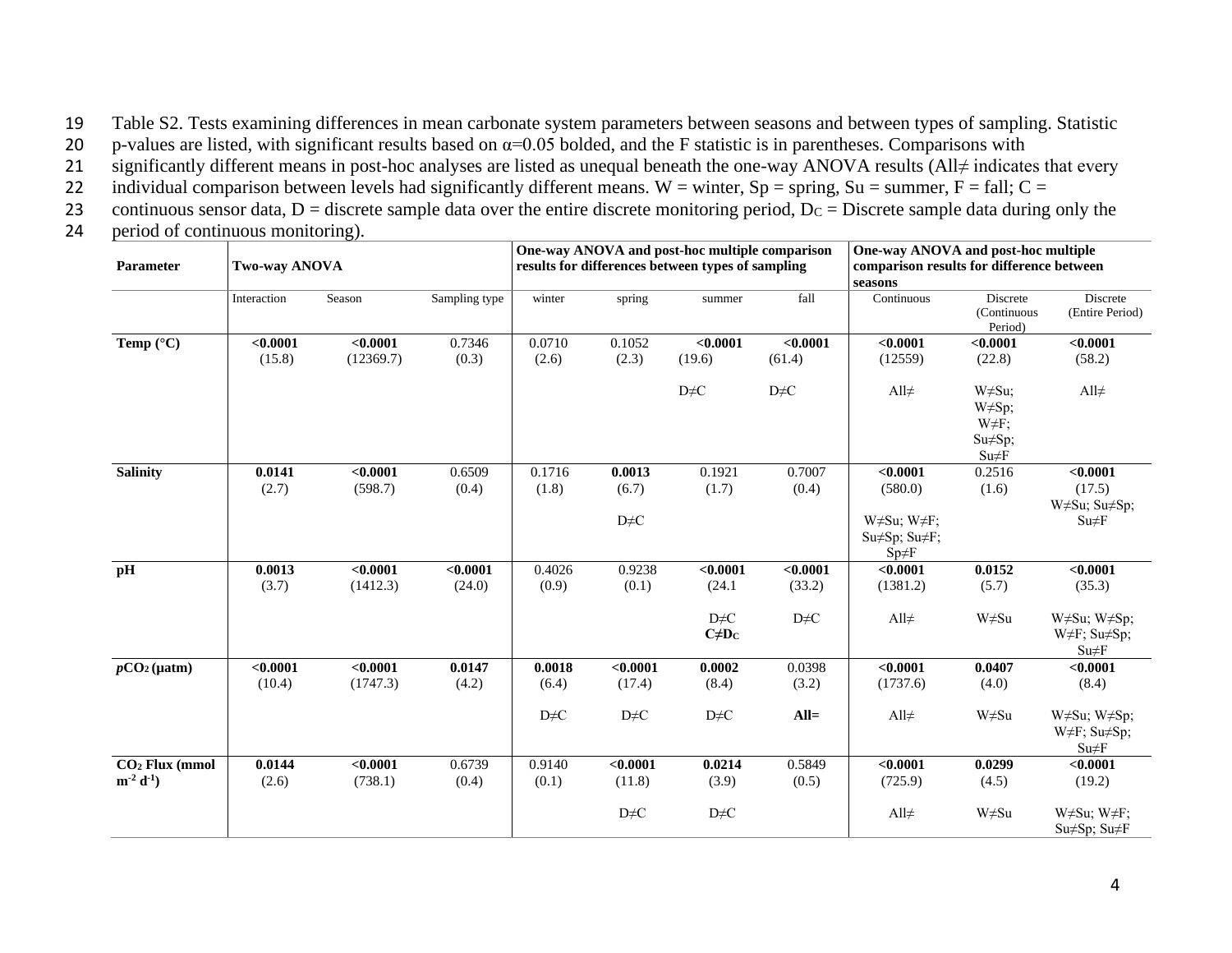19 Table S2. Tests examining differences in mean carbonate system parameters between seasons and between types of sampling. Statistic

20 p-values are listed, with significant results based on  $\alpha$ =0.05 bolded, and the F statistic is in parentheses. Comparisons with

21 significantly different means in post-hoc analyses are listed as unequal beneath the one-way ANOVA results (All≠ indicates that every

22 individual comparison between levels had significantly different means. W = winter,  $Sp = spring$ ,  $Su = summer$ ,  $F = fall$ ;  $C =$ 

23 continuous sensor data,  $D =$  discrete sample data over the entire discrete monitoring period,  $D_C =$  Discrete sample data during only the

24 period of continuous monitoring).

| Parameter                   | Two-way ANOVA |           |               |            |            | One-way ANOVA and post-hoc multiple comparison<br>One-way ANOVA and post-hoc multiple<br>results for differences between types of sampling<br>comparison results for difference between<br>seasons |                                     |                                                                         |                                                                |                                                          |
|-----------------------------|---------------|-----------|---------------|------------|------------|----------------------------------------------------------------------------------------------------------------------------------------------------------------------------------------------------|-------------------------------------|-------------------------------------------------------------------------|----------------------------------------------------------------|----------------------------------------------------------|
|                             | Interaction   | Season    | Sampling type | winter     | spring     | summer                                                                                                                                                                                             | fall                                | Continuous                                                              | Discrete<br>(Continuous<br>Period)                             | Discrete<br>(Entire Period)                              |
| Temp $(^{\circ}C)$          | < 0.0001      | < 0.0001  | 0.7346        | 0.0710     | 0.1052     | < 0.0001                                                                                                                                                                                           | < 0.0001                            | < 0.0001                                                                | < 0.0001                                                       | < 0.0001                                                 |
|                             | (15.8)        | (12369.7) | (0.3)         | (2.6)      | (2.3)      | (19.6)                                                                                                                                                                                             | (61.4)                              | (12559)                                                                 | (22.8)                                                         | (58.2)                                                   |
|                             |               |           |               |            |            | $D \neq C$                                                                                                                                                                                         | $D \neq C$                          | All $\neq$                                                              | $W \neq Su;$<br>W≠Sp;<br>$W \neq F$ ;<br>Su≠Sp;<br>$Su \neq F$ | All $\neq$                                               |
| <b>Salinity</b>             | 0.0141        | < 0.0001  | 0.6509        | 0.1716     | 0.0013     | 0.1921                                                                                                                                                                                             | 0.7007                              | < 0.0001                                                                | 0.2516                                                         | < 0.0001                                                 |
|                             | (2.7)         | (598.7)   | (0.4)         | (1.8)      | (6.7)      | (1.7)                                                                                                                                                                                              | (0.4)                               | (580.0)                                                                 | (1.6)                                                          | (17.5)                                                   |
|                             |               |           |               |            |            |                                                                                                                                                                                                    |                                     |                                                                         |                                                                | W≠Su; Su≠Sp;                                             |
|                             |               |           |               |            | $D \neq C$ |                                                                                                                                                                                                    |                                     | W $\neq$ Su; W $\neq$ F;<br>$Su \neq Sp$ ; $Su \neq F$ ;<br>$Sp \neq F$ |                                                                | $Su \neq F$                                              |
| pH                          | 0.0013        | < 0.0001  | < 0.0001      | 0.4026     | 0.9238     | < 0.0001                                                                                                                                                                                           | < 0.0001                            | < 0.0001                                                                | 0.0152                                                         | < 0.0001                                                 |
|                             | (3.7)         | (1412.3)  | (24.0)        | (0.9)      | (0.1)      | (24.1)                                                                                                                                                                                             | (33.2)                              | (1381.2)                                                                | (5.7)                                                          | (35.3)                                                   |
|                             |               |           |               |            |            | $D \neq C$<br>$C \neq D_C$                                                                                                                                                                         | $\mathrm{D}\!\!\neq\!\! \mathrm{C}$ | All $\neq$                                                              | W≠Su                                                           | W#Su; W#Sp;<br>W≠F; Su≠Sp;<br>$Su \neq F$                |
| $pCO2(\mu atm)$             | < 0.0001      | < 0.0001  | 0.0147        | 0.0018     | < 0.0001   | 0.0002                                                                                                                                                                                             | 0.0398                              | < 0.0001                                                                | 0.0407                                                         | < 0.0001                                                 |
|                             | (10.4)        | (1747.3)  | (4.2)         | (6.4)      | (17.4)     | (8.4)                                                                                                                                                                                              | (3.2)                               | (1737.6)                                                                | (4.0)                                                          | (8.4)                                                    |
|                             |               |           |               | $D \neq C$ | $D \neq C$ | $D \neq C$                                                                                                                                                                                         | $All=$                              | All $\neq$                                                              | W≠Su                                                           | W#Su; W#Sp;<br>$W \neq F$ ; Su $\neq$ Sp;<br>$Su \neq F$ |
| CO <sub>2</sub> Flux (mmol) | 0.0144        | < 0.0001  | 0.6739        | 0.9140     | < 0.0001   | 0.0214                                                                                                                                                                                             | 0.5849                              | < 0.0001                                                                | 0.0299                                                         | < 0.0001                                                 |
| $m^{-2} d^{-1}$             | (2.6)         | (738.1)   | (0.4)         | (0.1)      | (11.8)     | (3.9)                                                                                                                                                                                              | (0.5)                               | (725.9)                                                                 | (4.5)                                                          | (19.2)                                                   |
|                             |               |           |               |            | $D \neq C$ | $D \neq C$                                                                                                                                                                                         |                                     | All $\neq$                                                              | W≠Su                                                           | W $\neq$ Su; W $\neq$ F;<br>$Su \neq Sp$ ; $Su \neq F$   |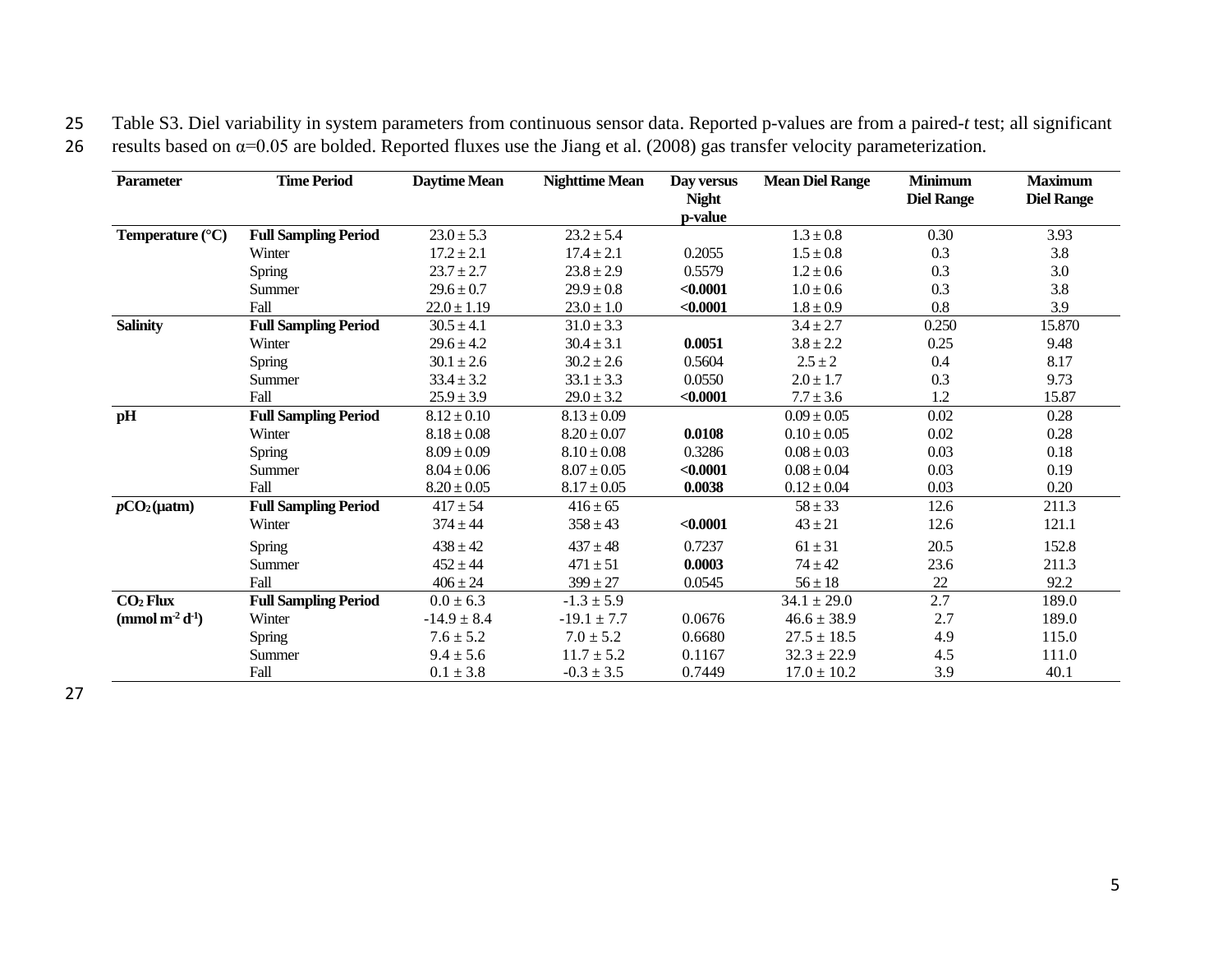25 Table S3. Diel variability in system parameters from continuous sensor data. Reported p-values are from a paired-*t* test; all significant 26 results based on  $\alpha$ =0.05 are bolded. Reported fluxes use the Jiang et al. (2008) gas transfer velocity parameterization.

| <b>Parameter</b>                       | <b>Time Period</b>          | Daytime Mean    | <b>Nighttime Mean</b> | Day versus<br><b>Night</b> | <b>Mean Diel Range</b> | <b>Minimum</b><br><b>Diel Range</b> | <b>Maximum</b><br><b>Diel Range</b> |
|----------------------------------------|-----------------------------|-----------------|-----------------------|----------------------------|------------------------|-------------------------------------|-------------------------------------|
| Temperature (°C)                       | <b>Full Sampling Period</b> | $23.0 \pm 5.3$  | $23.2 \pm 5.4$        | p-value                    | $1.3 \pm 0.8$          | 0.30                                | 3.93                                |
|                                        | Winter                      | $17.2 \pm 2.1$  | $17.4 \pm 2.1$        | 0.2055                     | $1.5 \pm 0.8$          | 0.3                                 | 3.8                                 |
|                                        |                             |                 |                       |                            |                        |                                     |                                     |
|                                        | <b>Spring</b>               | $23.7 \pm 2.7$  | $23.8 \pm 2.9$        | 0.5579                     | $1.2 \pm 0.6$          | 0.3                                 | 3.0                                 |
|                                        | Summer                      | $29.6 \pm 0.7$  | $29.9 \pm 0.8$        | < 0.0001                   | $1.0 \pm 0.6$          | 0.3                                 | 3.8                                 |
|                                        | Fall                        | $22.0 \pm 1.19$ | $23.0 \pm 1.0$        | < 0.0001                   | $1.8 \pm 0.9$          | 0.8                                 | 3.9                                 |
| <b>Salinity</b>                        | <b>Full Sampling Period</b> | $30.5 \pm 4.1$  | $31.0 \pm 3.3$        |                            | $3.4 \pm 2.7$          | 0.250                               | 15.870                              |
|                                        | Winter                      | $29.6 \pm 4.2$  | $30.4 \pm 3.1$        | 0.0051                     | $3.8 \pm 2.2$          | 0.25                                | 9.48                                |
|                                        | <b>Spring</b>               | $30.1 \pm 2.6$  | $30.2 \pm 2.6$        | 0.5604                     | $2.5 \pm 2$            | 0.4                                 | 8.17                                |
|                                        | Summer                      | $33.4 \pm 3.2$  | $33.1 \pm 3.3$        | 0.0550                     | $2.0 \pm 1.7$          | 0.3                                 | 9.73                                |
|                                        | Fall                        | $25.9 \pm 3.9$  | $29.0 \pm 3.2$        | < 0.0001                   | $7.7 \pm 3.6$          | 1.2                                 | 15.87                               |
| pH                                     | <b>Full Sampling Period</b> | $8.12 \pm 0.10$ | $8.13 \pm 0.09$       |                            | $0.09 \pm 0.05$        | 0.02                                | 0.28                                |
|                                        | Winter                      | $8.18 \pm 0.08$ | $8.20 \pm 0.07$       | 0.0108                     | $0.10 \pm 0.05$        | 0.02                                | 0.28                                |
|                                        | <b>Spring</b>               | $8.09 \pm 0.09$ | $8.10 \pm 0.08$       | 0.3286                     | $0.08 \pm 0.03$        | 0.03                                | 0.18                                |
|                                        | Summer                      | $8.04 \pm 0.06$ | $8.07 \pm 0.05$       | < 0.0001                   | $0.08 \pm 0.04$        | 0.03                                | 0.19                                |
|                                        | Fall                        | $8.20 \pm 0.05$ | $8.17 \pm 0.05$       | 0.0038                     | $0.12 \pm 0.04$        | 0.03                                | 0.20                                |
| $pCO2(\mu atm)$                        | <b>Full Sampling Period</b> | $417 \pm 54$    | $416 \pm 65$          |                            | $58 \pm 33$            | 12.6                                | 211.3                               |
|                                        | Winter                      | $374 \pm 44$    | $358 \pm 43$          | < 0.0001                   | $43 \pm 21$            | 12.6                                | 121.1                               |
|                                        | <b>Spring</b>               | $438 \pm 42$    | $437 \pm 48$          | 0.7237                     | $61 \pm 31$            | 20.5                                | 152.8                               |
|                                        | Summer                      | $452 \pm 44$    | $471 \pm 51$          | 0.0003                     | $74 \pm 42$            | 23.6                                | 211.3                               |
|                                        | Fall                        | $406 \pm 24$    | $399 \pm 27$          | 0.0545                     | $56 \pm 18$            | 22                                  | 92.2                                |
| CO <sub>2</sub> Flux                   | <b>Full Sampling Period</b> | $0.0 \pm 6.3$   | $-1.3 \pm 5.9$        |                            | $34.1 \pm 29.0$        | 2.7                                 | 189.0                               |
| (mmol m <sup>2</sup> d <sup>-1</sup> ) | Winter                      | $-14.9 \pm 8.4$ | $-19.1 \pm 7.7$       | 0.0676                     | $46.6 \pm 38.9$        | 2.7                                 | 189.0                               |
|                                        | <b>Spring</b>               | $7.6 \pm 5.2$   | $7.0 \pm 5.2$         | 0.6680                     | $27.5 \pm 18.5$        | 4.9                                 | 115.0                               |
|                                        | Summer                      | $9.4 \pm 5.6$   | $11.7 \pm 5.2$        | 0.1167                     | $32.3 \pm 22.9$        | 4.5                                 | 111.0                               |
|                                        | Fall                        | $0.1 \pm 3.8$   | $-0.3 \pm 3.5$        | 0.7449                     | $17.0 \pm 10.2$        | 3.9                                 | 40.1                                |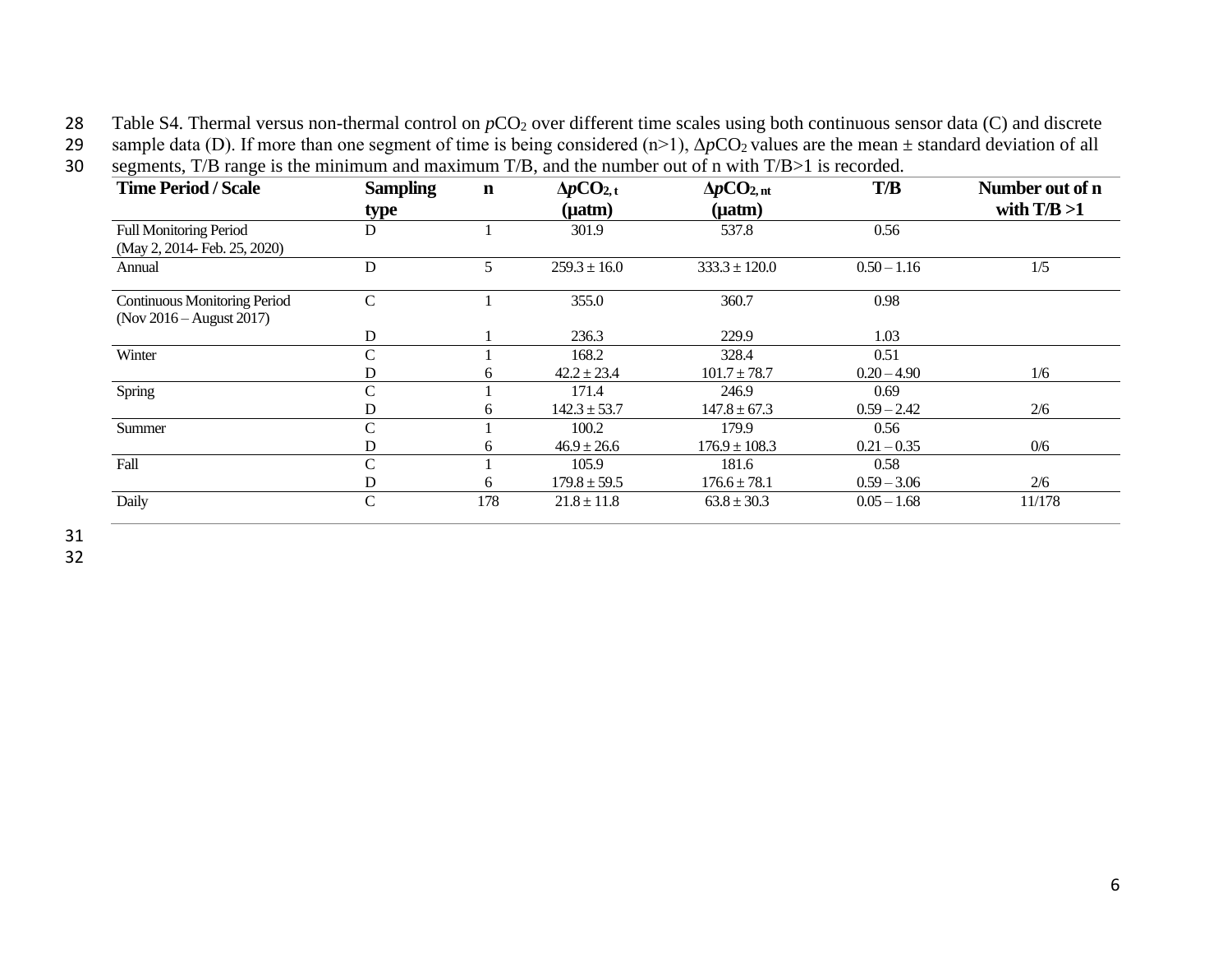28 Table S4. Thermal versus non-thermal control on  $pCO_2$  over different time scales using both continuous sensor data (C) and discrete

29 sample data (D). If more than one segment of time is being considered  $(n>1)$ ,  $\Delta pCO_2$  values are the mean  $\pm$  standard deviation of all

|  | 30 segments, $T/B$ range is the minimum and maximum $T/B$ , and the number out of n with $T/B>1$ is recorded. |  |  |  |  |  |  |  |  |
|--|---------------------------------------------------------------------------------------------------------------|--|--|--|--|--|--|--|--|
|--|---------------------------------------------------------------------------------------------------------------|--|--|--|--|--|--|--|--|

| <b>Time Period / Scale</b>                                        | <b>Sampling</b> | $\mathbf n$ | $\Delta p CO_{2, t}$ | $\Delta p CO_{2,nt}$ | T/B           | Number out of n |
|-------------------------------------------------------------------|-----------------|-------------|----------------------|----------------------|---------------|-----------------|
|                                                                   | type            |             | $(\mu atm)$          | $(\mu atm)$          |               | with $T/B > 1$  |
| <b>Full Monitoring Period</b><br>(May 2, 2014- Feb. 25, 2020)     | D               |             | 301.9                | 537.8                | 0.56          |                 |
| Annual                                                            | D               | 5           | $259.3 \pm 16.0$     | $333.3 \pm 120.0$    | $0.50 - 1.16$ | 1/5             |
| <b>Continuous Monitoring Period</b><br>(Nov $2016 -$ August 2017) | $\mathbf C$     |             | 355.0                | 360.7                | 0.98          |                 |
|                                                                   | D               |             | 236.3                | 229.9                | 1.03          |                 |
| Winter                                                            | C               |             | 168.2                | 328.4                | 0.51          |                 |
|                                                                   | D               | 6           | $42.2 \pm 23.4$      | $101.7 \pm 78.7$     | $0.20 - 4.90$ | 1/6             |
| Spring                                                            | C               |             | 171.4                | 246.9                | 0.69          |                 |
|                                                                   | D               | 6           | $142.3 \pm 53.7$     | $147.8 \pm 67.3$     | $0.59 - 2.42$ | 2/6             |
| Summer                                                            | C               |             | 100.2                | 179.9                | 0.56          |                 |
|                                                                   | D               | 6           | $46.9 \pm 26.6$      | $176.9 \pm 108.3$    | $0.21 - 0.35$ | 0/6             |
| Fall                                                              | C               |             | 105.9                | 181.6                | 0.58          |                 |
|                                                                   | D               | 6           | $179.8 \pm 59.5$     | $176.6 \pm 78.1$     | $0.59 - 3.06$ | 2/6             |
| Daily                                                             | C               | 178         | $21.8 \pm 11.8$      | $63.8 \pm 30.3$      | $0.05 - 1.68$ | 11/178          |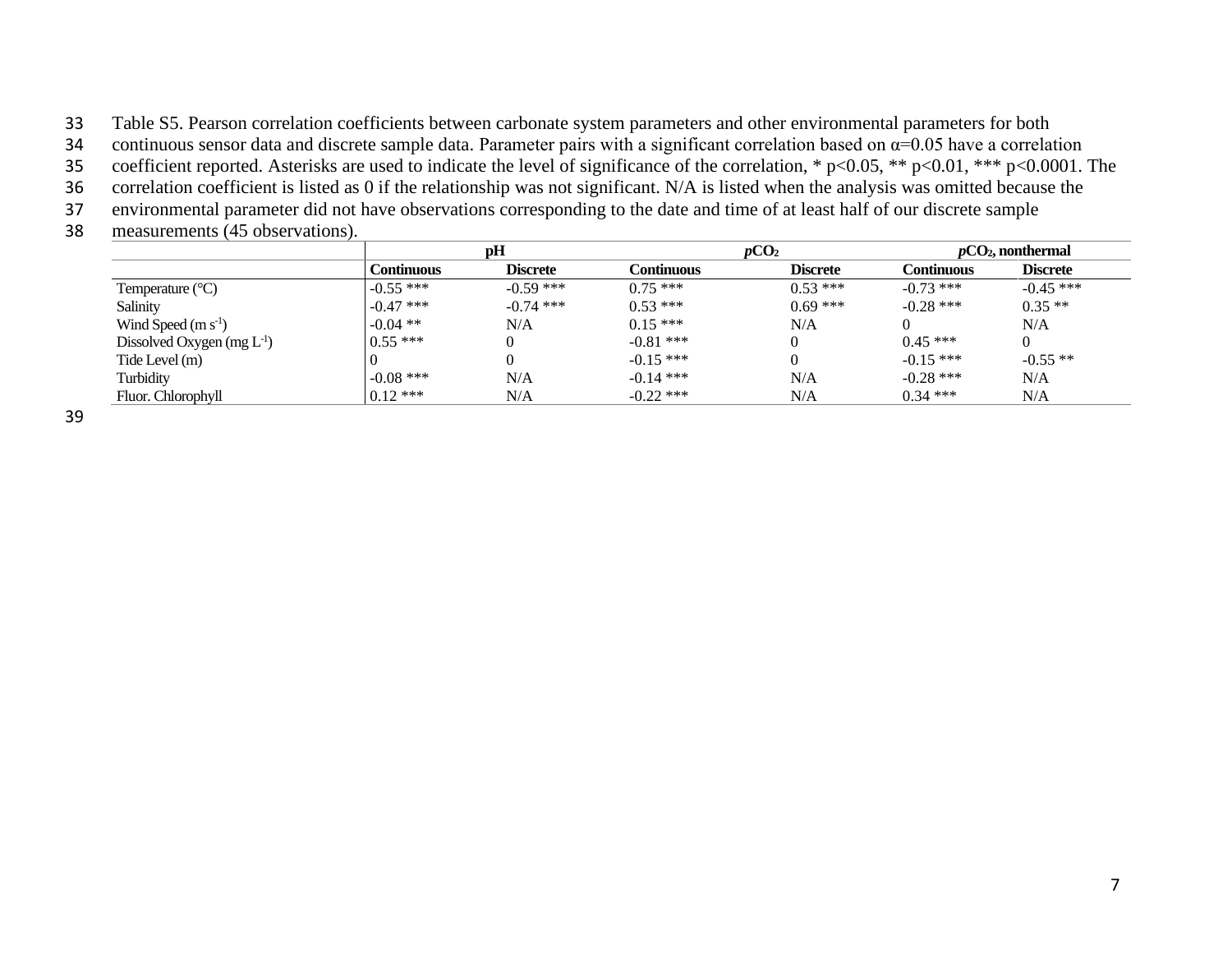33 Table S5. Pearson correlation coefficients between carbonate system parameters and other environmental parameters for both

34 continuous sensor data and discrete sample data. Parameter pairs with a significant correlation based on  $\alpha$ =0.05 have a correlation

35 coefficient reported. Asterisks are used to indicate the level of significance of the correlation, \* p<0.05, \*\* p<0.01, \*\*\* p<0.0001. The

36 correlation coefficient is listed as 0 if the relationship was not significant. N/A is listed when the analysis was omitted because the

37 environmental parameter did not have observations corresponding to the date and time of at least half of our discrete sample

38 measurements (45 observations).

|                                |             | pH              |             | pCO <sub>2</sub> |             | $pCO2$ , nonthermal |  |
|--------------------------------|-------------|-----------------|-------------|------------------|-------------|---------------------|--|
|                                | Continuous  | <b>Discrete</b> | Continuous  | <b>Discrete</b>  | Continuous  | <b>Discrete</b>     |  |
| Temperature $(^{\circ}C)$      | $-0.55$ *** | $-0.59$ ***     | $0.75***$   | $0.53***$        | $-0.73$ *** | $-0.45$ ***         |  |
| Salinity                       | $-0.47$ *** | $-0.74$ ***     | $0.53***$   | $0.69$ ***       | $-0.28$ *** | $0.35**$            |  |
| Wind Speed $(m s-1)$           | $-0.04$ **  | N/A             | $0.15***$   | N/A              |             | N/A                 |  |
| Dissolved Oxygen $(mg L^{-1})$ | $0.55***$   |                 | $-0.81$ *** | 0                | $0.45***$   |                     |  |
| Tide Level (m)                 |             |                 | $-0.15$ *** | $\theta$         | $-0.15$ *** | $-0.55$ **          |  |
| Turbidity                      | $-0.08$ *** | N/A             | $-0.14$ *** | N/A              | $-0.28$ *** | N/A                 |  |
| Fluor. Chlorophyll             | $0.12$ ***  | N/A             | $-0.22$ *** | N/A              | $0.34$ ***  | N/A                 |  |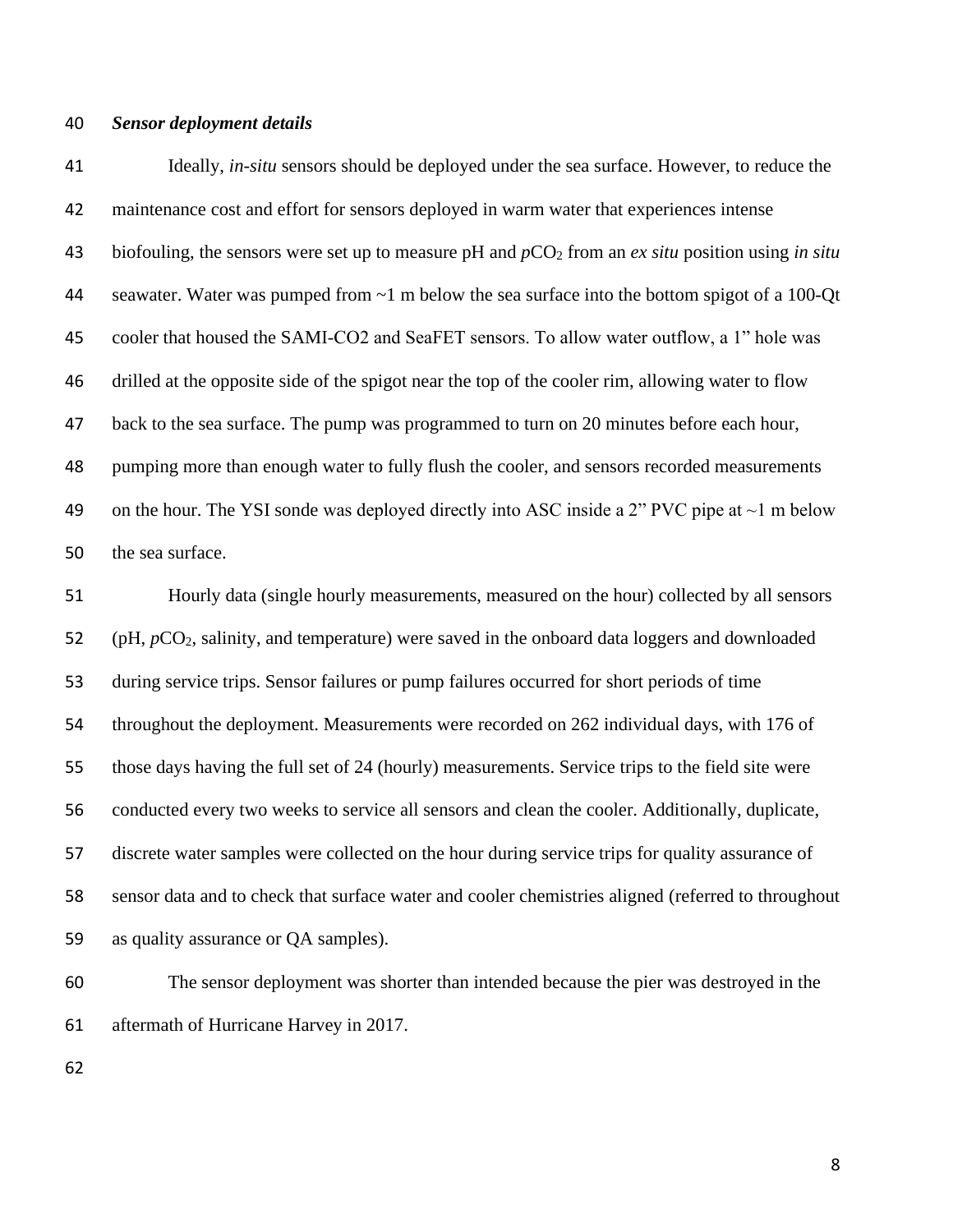#### *Sensor deployment details*

 Ideally, *in-situ* sensors should be deployed under the sea surface. However, to reduce the maintenance cost and effort for sensors deployed in warm water that experiences intense biofouling, the sensors were set up to measure pH and *p*CO<sup>2</sup> from an *ex situ* position using *in situ* seawater. Water was pumped from ~1 m below the sea surface into the bottom spigot of a 100-Qt cooler that housed the SAMI-CO2 and SeaFET sensors. To allow water outflow, a 1" hole was drilled at the opposite side of the spigot near the top of the cooler rim, allowing water to flow back to the sea surface. The pump was programmed to turn on 20 minutes before each hour, pumping more than enough water to fully flush the cooler, and sensors recorded measurements 49 on the hour. The YSI sonde was deployed directly into ASC inside a 2" PVC pipe at  $\sim$ 1 m below the sea surface.

 Hourly data (single hourly measurements, measured on the hour) collected by all sensors 52 (pH, *pCO*<sub>2</sub>, salinity, and temperature) were saved in the onboard data loggers and downloaded during service trips. Sensor failures or pump failures occurred for short periods of time throughout the deployment. Measurements were recorded on 262 individual days, with 176 of those days having the full set of 24 (hourly) measurements. Service trips to the field site were conducted every two weeks to service all sensors and clean the cooler. Additionally, duplicate, discrete water samples were collected on the hour during service trips for quality assurance of sensor data and to check that surface water and cooler chemistries aligned (referred to throughout as quality assurance or QA samples).

 The sensor deployment was shorter than intended because the pier was destroyed in the aftermath of Hurricane Harvey in 2017.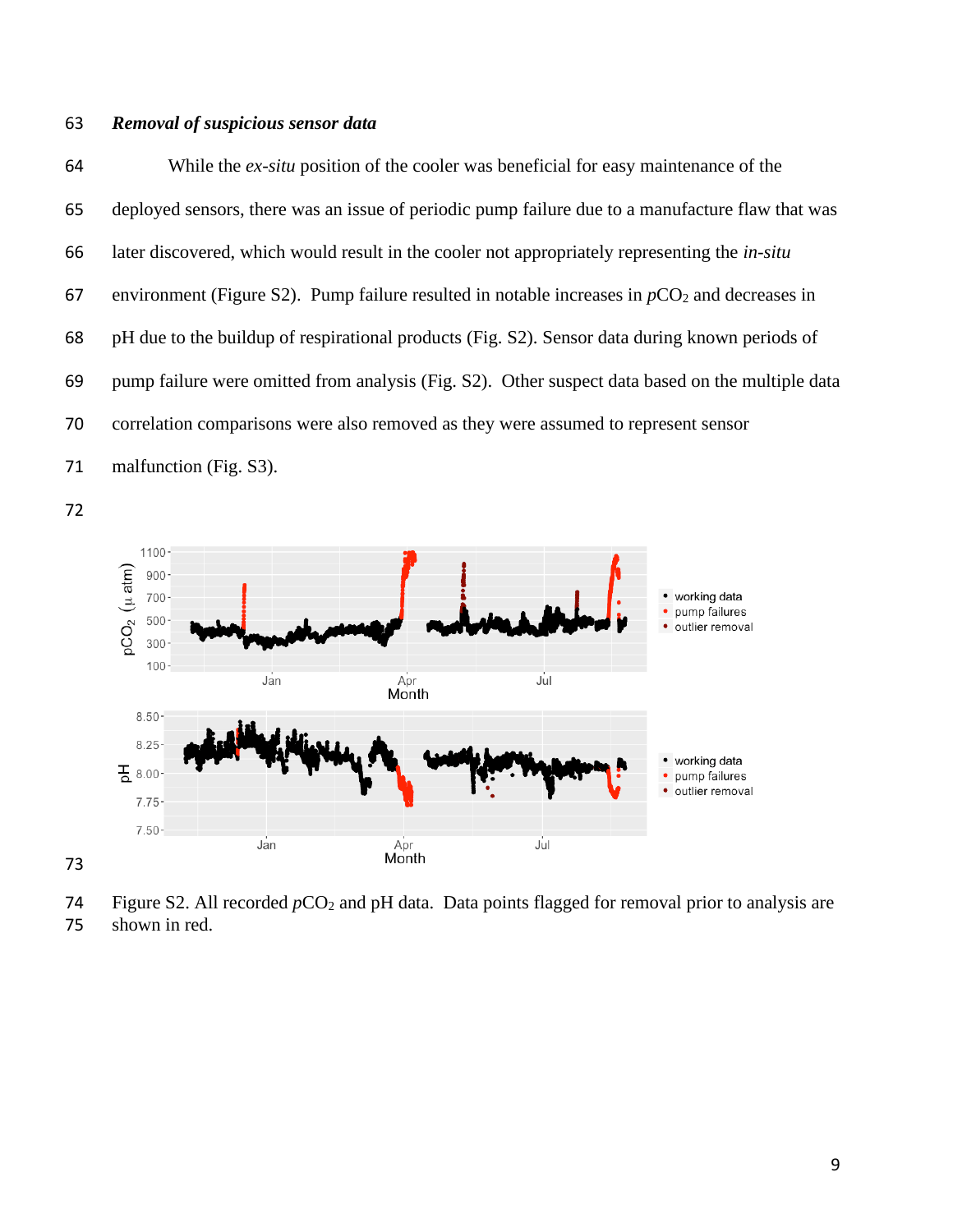### *Removal of suspicious sensor data*

 While the *ex-situ* position of the cooler was beneficial for easy maintenance of the deployed sensors, there was an issue of periodic pump failure due to a manufacture flaw that was later discovered, which would result in the cooler not appropriately representing the *in-situ* 67 environment (Figure S2). Pump failure resulted in notable increases in  $pCO<sub>2</sub>$  and decreases in pH due to the buildup of respirational products (Fig. S2). Sensor data during known periods of pump failure were omitted from analysis (Fig. S2). Other suspect data based on the multiple data correlation comparisons were also removed as they were assumed to represent sensor 71 malfunction (Fig. S3).





74 Figure S2. All recorded  $pCO_2$  and pH data. Data points flagged for removal prior to analysis are shown in red.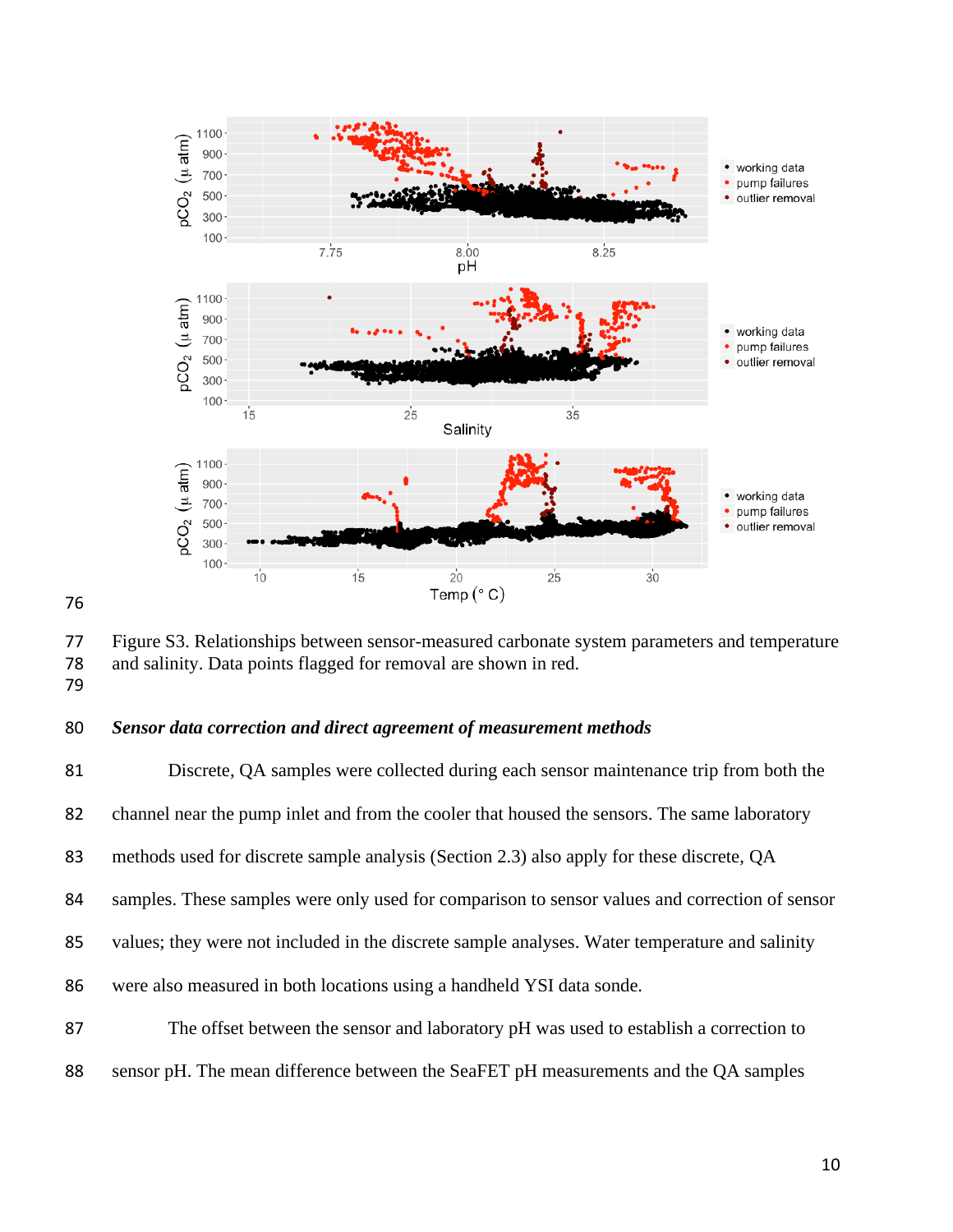

 Figure S3. Relationships between sensor-measured carbonate system parameters and temperature and salinity. Data points flagged for removal are shown in red. 

### *Sensor data correction and direct agreement of measurement methods*

 Discrete, QA samples were collected during each sensor maintenance trip from both the channel near the pump inlet and from the cooler that housed the sensors. The same laboratory methods used for discrete sample analysis (Section 2.3) also apply for these discrete, QA samples. These samples were only used for comparison to sensor values and correction of sensor values; they were not included in the discrete sample analyses. Water temperature and salinity were also measured in both locations using a handheld YSI data sonde. The offset between the sensor and laboratory pH was used to establish a correction to sensor pH. The mean difference between the SeaFET pH measurements and the QA samples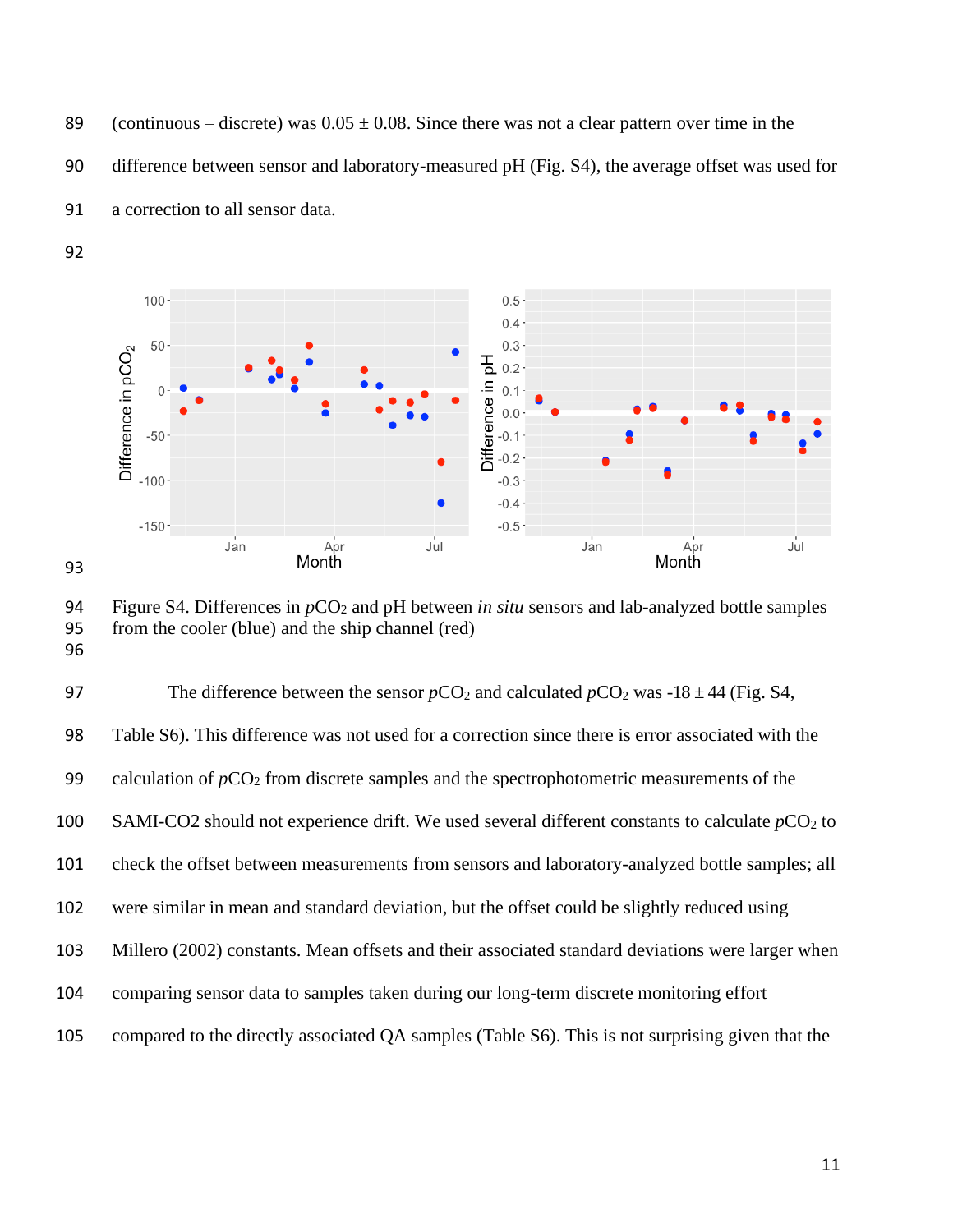89 (continuous – discrete) was  $0.05 \pm 0.08$ . Since there was not a clear pattern over time in the

difference between sensor and laboratory-measured pH (Fig. S4), the average offset was used for



a correction to all sensor data.



 Figure S4. Differences in *p*CO<sup>2</sup> and pH between *in situ* sensors and lab-analyzed bottle samples from the cooler (blue) and the ship channel (red) 

| 97  | The difference between the sensor $pCO_2$ and calculated $pCO_2$ was -18 $\pm$ 44 (Fig. S4,       |
|-----|---------------------------------------------------------------------------------------------------|
| 98  | Table S6). This difference was not used for a correction since there is error associated with the |
| 99  | calculation of $pCO2$ from discrete samples and the spectrophotometric measurements of the        |
| 100 | SAMI-CO2 should not experience drift. We used several different constants to calculate $pCO2$ to  |
| 101 | check the offset between measurements from sensors and laboratory-analyzed bottle samples; all    |
| 102 | were similar in mean and standard deviation, but the offset could be slightly reduced using       |
| 103 | Millero (2002) constants. Mean offsets and their associated standard deviations were larger when  |
| 104 | comparing sensor data to samples taken during our long-term discrete monitoring effort            |
| 105 | compared to the directly associated QA samples (Table S6). This is not surprising given that the  |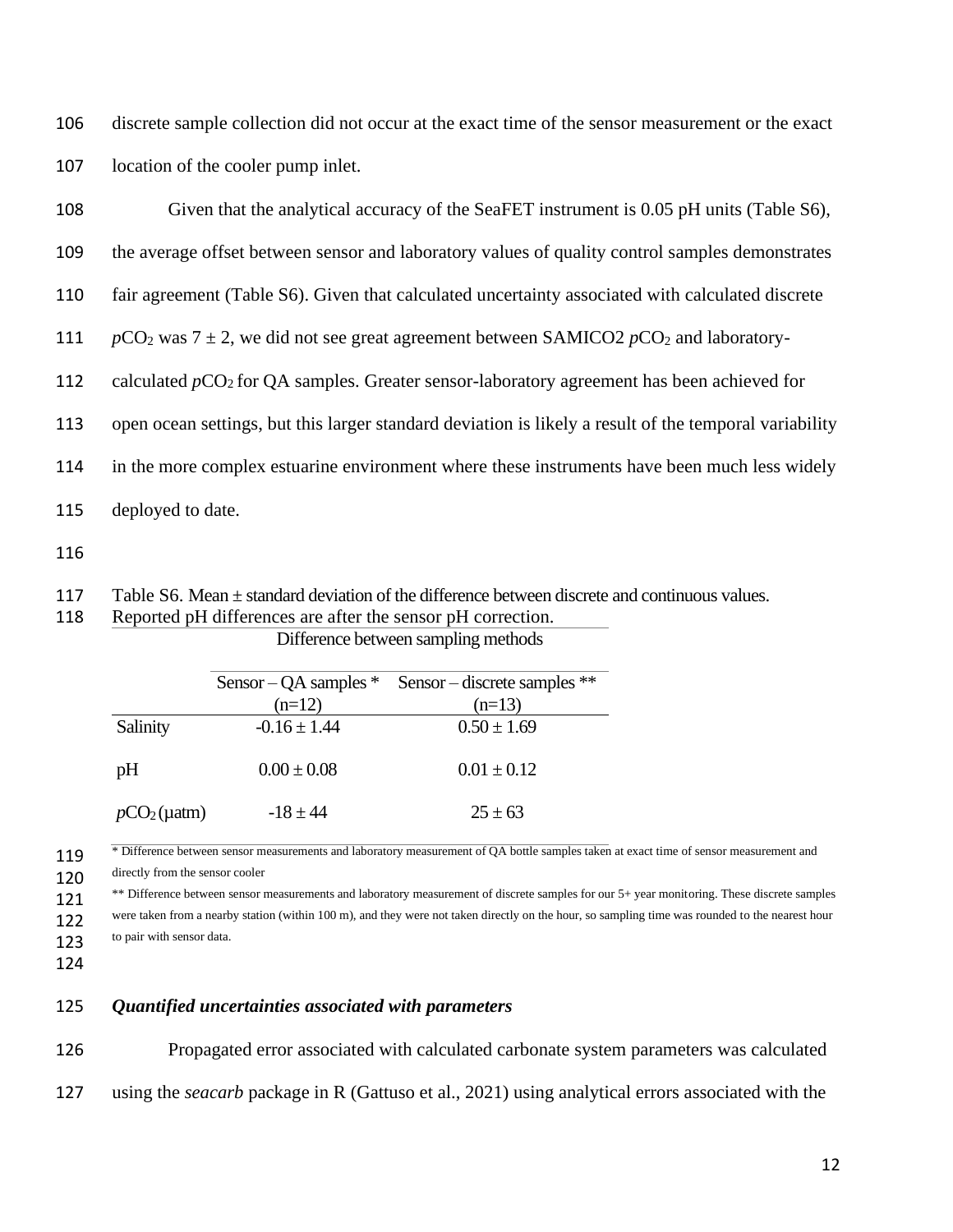106 discrete sample collection did not occur at the exact time of the sensor measurement or the exact 107 location of the cooler pump inlet.

| 108 | Given that the analytical accuracy of the SeaFET instrument is 0.05 pH units (Table S6),               |
|-----|--------------------------------------------------------------------------------------------------------|
| 109 | the average offset between sensor and laboratory values of quality control samples demonstrates        |
| 110 | fair agreement (Table S6). Given that calculated uncertainty associated with calculated discrete       |
| 111 | $pCO2$ was 7 $\pm$ 2, we did not see great agreement between SAMICO2 $pCO2$ and laboratory-            |
| 112 | calculated $pCO2$ for QA samples. Greater sensor-laboratory agreement has been achieved for            |
| 113 | open ocean settings, but this larger standard deviation is likely a result of the temporal variability |
| 114 | in the more complex estuarine environment where these instruments have been much less widely           |
| 115 | deployed to date.                                                                                      |

116

117 Table S6. Mean ± standard deviation of the difference between discrete and continuous values.

118 Reported pH differences are after the sensor pH correction. Difference between sampling methods

|                 | Sensor – QA samples $*$ | Sensor – discrete samples $**$ |
|-----------------|-------------------------|--------------------------------|
|                 | $(n=12)$                | $(n=13)$                       |
| Salinity        | $-0.16 \pm 1.44$        | $0.50 \pm 1.69$                |
| pH              | $0.00 \pm 0.08$         | $0.01 \pm 0.12$                |
| $pCO2(\mu atm)$ | $-18 + 44$              | $25 \pm 63$                    |

<sup>\*</sup> Difference between sensor measurements and laboratory measurement of QA bottle samples taken at exact time of sensor measurement and 120 directly from the sensor cooler

<sup>\*\*</sup> Difference between sensor measurements and laboratory measurement of discrete samples for our 5+ year monitoring. These discrete samples were taken from a nearby station (within 100 m), and they were not taken directly on the hour, so sampling time was rounded to the nearest hour 123 to pair with sensor data.

124

#### 125 *Quantified uncertainties associated with parameters*

126 Propagated error associated with calculated carbonate system parameters was calculated 127 using the *seacarb* package in R (Gattuso et al., 2021) using analytical errors associated with the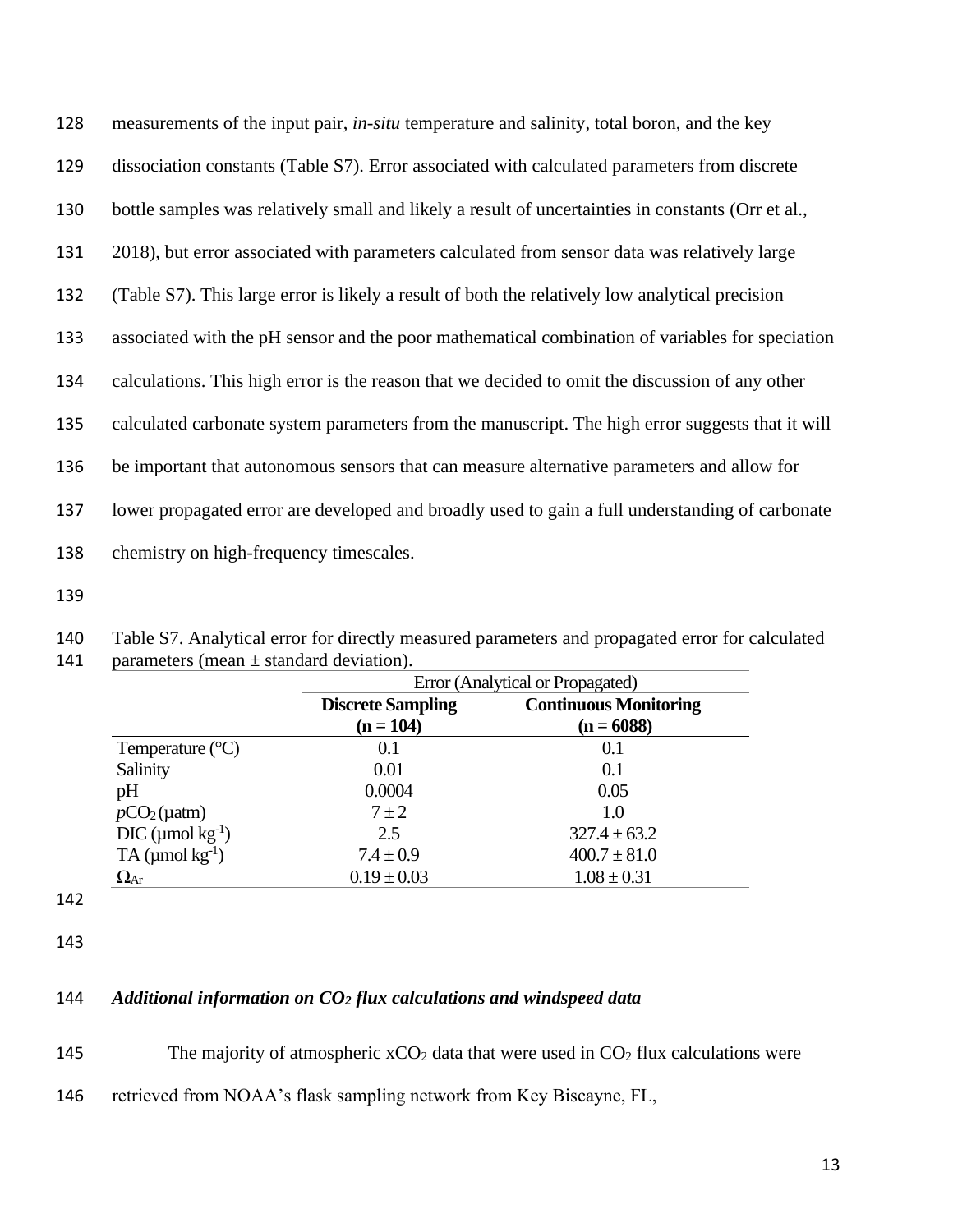| 128 | measurements of the input pair, <i>in-situ</i> temperature and salinity, total boron, and the key  |
|-----|----------------------------------------------------------------------------------------------------|
| 129 | dissociation constants (Table S7). Error associated with calculated parameters from discrete       |
| 130 | bottle samples was relatively small and likely a result of uncertainties in constants (Orr et al., |
| 131 | 2018), but error associated with parameters calculated from sensor data was relatively large       |
| 132 | (Table S7). This large error is likely a result of both the relatively low analytical precision    |
| 133 | associated with the pH sensor and the poor mathematical combination of variables for speciation    |
| 134 | calculations. This high error is the reason that we decided to omit the discussion of any other    |
| 135 | calculated carbonate system parameters from the manuscript. The high error suggests that it will   |
| 136 | be important that autonomous sensors that can measure alternative parameters and allow for         |
| 137 | lower propagated error are developed and broadly used to gain a full understanding of carbonate    |
| 138 | chemistry on high-frequency timescales.                                                            |

139

140 Table S7. Analytical error for directly measured parameters and propagated error for calculated parameters (mean  $\pm$  standard deviation). parameters (mean  $\pm$  standard deviation).

|                            | Error (Analytical or Propagated) |                              |  |  |  |
|----------------------------|----------------------------------|------------------------------|--|--|--|
|                            | <b>Discrete Sampling</b>         | <b>Continuous Monitoring</b> |  |  |  |
|                            | $(n = 104)$                      | $(n = 6088)$                 |  |  |  |
| Temperature $(^{\circ}C)$  | 0.1                              | 0.1                          |  |  |  |
| Salinity                   | 0.01                             | 0.1                          |  |  |  |
| pH                         | 0.0004                           | 0.05                         |  |  |  |
| $pCO2(\mu atm)$            | $7 \pm 2$                        | 1.0                          |  |  |  |
| $DIC$ (µmol $kg^{-1}$ )    | 2.5                              | $327.4 \pm 63.2$             |  |  |  |
| TA ( $\mu$ mol $kg^{-1}$ ) | $7.4 \pm 0.9$                    | $400.7 \pm 81.0$             |  |  |  |
| $\Omega_{\rm Ar}$          | $0.19 \pm 0.03$                  | $1.08 \pm 0.31$              |  |  |  |

142

143

## 144 *Additional information on CO<sup>2</sup> flux calculations and windspeed data*

145 The majority of atmospheric  $xCO_2$  data that were used in  $CO_2$  flux calculations were

146 retrieved from NOAA's flask sampling network from Key Biscayne, FL,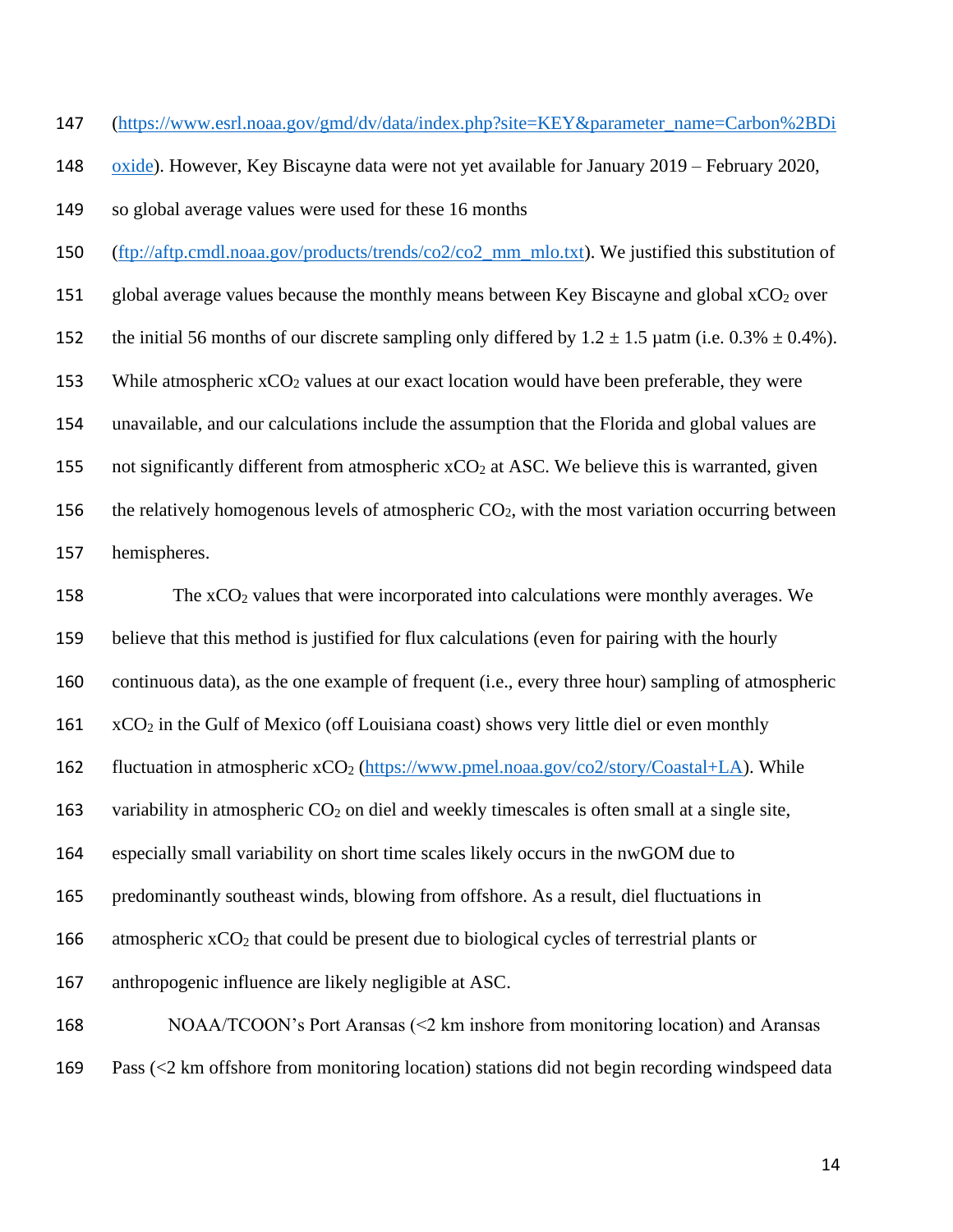147 [\(https://www.esrl.noaa.gov/gmd/dv/data/index.php?site=KEY&parameter\\_name=Carbon%2BDi](https://www.esrl.noaa.gov/gmd/dv/data/index.php?site=KEY¶meter_name=Carbon%2BDioxide)

148 [oxide\)](https://www.esrl.noaa.gov/gmd/dv/data/index.php?site=KEY¶meter_name=Carbon%2BDioxide). However, Key Biscayne data were not yet available for January 2019 – February 2020,

149 so global average values were used for these 16 months

- 150 [\(ftp://aftp.cmdl.noaa.gov/products/trends/co2/co2\\_mm\\_mlo.txt\)](ftp://aftp.cmdl.noaa.gov/products/trends/co2/co2_mm_mlo.txt). We justified this substitution of
- 151 global average values because the monthly means between Key Biscayne and global  $xCO<sub>2</sub>$  over
- 152 the initial 56 months of our discrete sampling only differed by  $1.2 \pm 1.5$  µatm (i.e. 0.3%  $\pm$  0.4%).
- 153 While atmospheric  $xCO<sub>2</sub>$  values at our exact location would have been preferable, they were
- 154 unavailable, and our calculations include the assumption that the Florida and global values are

155 not significantly different from atmospheric  $xCO_2$  at ASC. We believe this is warranted, given

156 the relatively homogenous levels of atmospheric  $CO<sub>2</sub>$ , with the most variation occurring between

157 hemispheres.

158 The xCO<sub>2</sub> values that were incorporated into calculations were monthly averages. We 159 believe that this method is justified for flux calculations (even for pairing with the hourly 160 continuous data), as the one example of frequent (i.e., every three hour) sampling of atmospheric  $161 \times CO<sub>2</sub>$  in the Gulf of Mexico (off Louisiana coast) shows very little diel or even monthly 162 fluctuation in atmospheric xCO<sub>2</sub> [\(https://www.pmel.noaa.gov/co2/story/Coastal+LA\)](https://www.pmel.noaa.gov/co2/story/Coastal+LA). While 163 variability in atmospheric CO<sub>2</sub> on diel and weekly timescales is often small at a single site, 164 especially small variability on short time scales likely occurs in the nwGOM due to 165 predominantly southeast winds, blowing from offshore. As a result, diel fluctuations in 166 atmospheric  $xCO<sub>2</sub>$  that could be present due to biological cycles of terrestrial plants or 167 anthropogenic influence are likely negligible at ASC. 168 NOAA/TCOON's Port Aransas (<2 km inshore from monitoring location) and Aransas

169 Pass (<2 km offshore from monitoring location) stations did not begin recording windspeed data